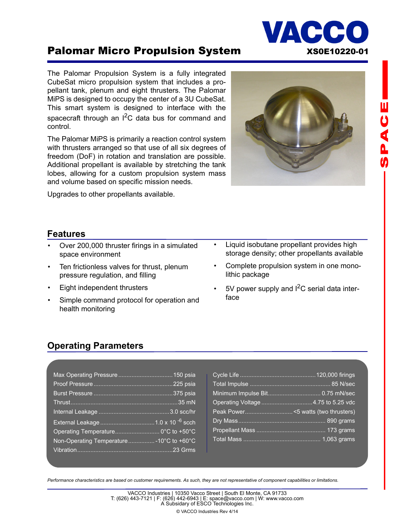

# Palomar Micro Propulsion System XS0E10220-01

The Palomar Propulsion System is a fully integrated CubeSat micro propulsion system that includes a propellant tank, plenum and eight thrusters. The Palomar MiPS is designed to occupy the center of a 3U CubeSat. This smart system is designed to interface with the spacecraft through an  $I^2C$  data bus for command and control.

The Palomar MiPS is primarily a reaction control system with thrusters arranged so that use of all six degrees of freedom (DoF) in rotation and translation are possible. Additional propellant is available by stretching the tank lobes, allowing for a custom propulsion system mass and volume based on specific mission needs.

Upgrades to other propellants available.



# **山りくんの**

### **Features**

- Over 200,000 thruster firings in a simulated space environment
- Ten frictionless valves for thrust, plenum pressure regulation, and filling
- Eight independent thrusters
- Simple command protocol for operation and health monitoring
- Liquid isobutane propellant provides high storage density; other propellants available
- Complete propulsion system in one monolithic package
- $5V$  power supply and  $I^2C$  serial data interface

### **Operating Parameters**

| Operating Temperature 0°C to +50°C        |
|-------------------------------------------|
| Non-Operating Temperature - 10°C to +60°C |
|                                           |

*Performance characteristics are based on customer requirements. As such, they are not representative of component capabilities or limitations.*